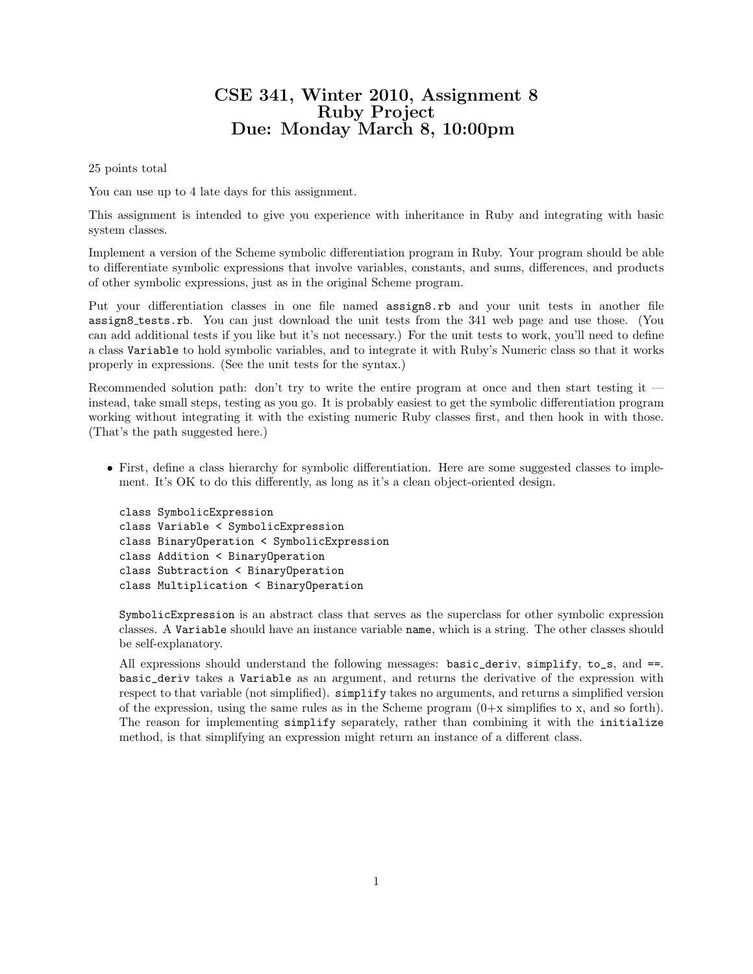## CSE 341, Winter 2010, Assignment 8 Ruby Project Due: Monday March 8, 10:00pm

25 points total

You can use up to 4 late days for this assignment.

This assignment is intended to give you experience with inheritance in Ruby and integrating with basic system classes.

Implement a version of the Scheme symbolic differentiation program in Ruby. Your program should be able to differentiate symbolic expressions that involve variables, constants, and sums, differences, and products of other symbolic expressions, just as in the original Scheme program.

Put your differentiation classes in one file named **assign8.rb** and your unit tests in another file assign8 tests.rb. You can just download the unit tests from the 341 web page and use those. (You can add additional tests if you like but it's not necessary.) For the unit tests to work, you'll need to define a class Variable to hold symbolic variables, and to integrate it with Ruby's Numeric class so that it works properly in expressions. (See the unit tests for the syntax.)

Recommended solution path: don't try to write the entire program at once and then start testing it instead, take small steps, testing as you go. It is probably easiest to get the symbolic differentiation program working without integrating it with the existing numeric Ruby classes first, and then hook in with those. (That's the path suggested here.)

• First, define a class hierarchy for symbolic differentiation. Here are some suggested classes to implement. It's OK to do this differently, as long as it's a clean object-oriented design.

```
class SymbolicExpression
class Variable < SymbolicExpression
class BinaryOperation < SymbolicExpression
class Addition < BinaryOperation
class Subtraction < BinaryOperation
class Multiplication < BinaryOperation
```
SymbolicExpression is an abstract class that serves as the superclass for other symbolic expression classes. A Variable should have an instance variable name, which is a string. The other classes should be self-explanatory.

All expressions should understand the following messages: basic\_deriv, simplify, to\_s, and  $==$ . basic\_deriv takes a Variable as an argument, and returns the derivative of the expression with respect to that variable (not simplified). simplify takes no arguments, and returns a simplified version of the expression, using the same rules as in the Scheme program  $(0+x)$  simplifies to x, and so forth). The reason for implementing simplify separately, rather than combining it with the initialize method, is that simplifying an expression might return an instance of a different class.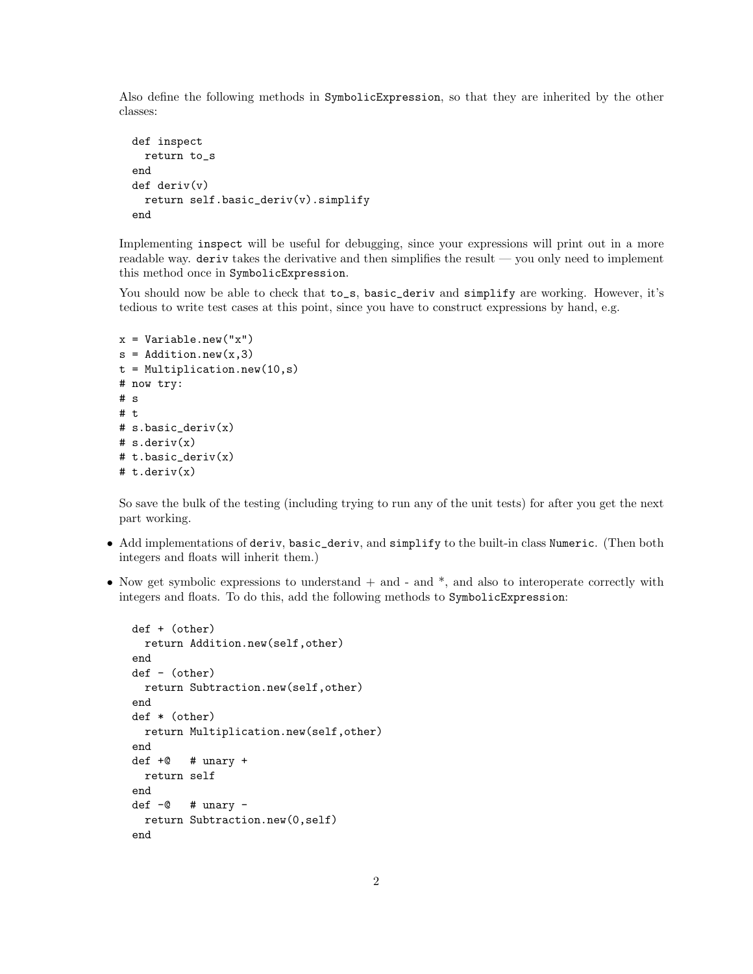Also define the following methods in SymbolicExpression, so that they are inherited by the other classes:

```
def inspect
 return to_s
end
def deriv(v)return self.basic_deriv(v).simplify
end
```
Implementing inspect will be useful for debugging, since your expressions will print out in a more readable way. deriv takes the derivative and then simplifies the result — you only need to implement this method once in SymbolicExpression.

You should now be able to check that  $to_s$ , basic\_deriv and simplify are working. However, it's tedious to write test cases at this point, since you have to construct expressions by hand, e.g.

```
x = Variable.new("x")
s = Addition.new(x,3)
t = Multiplication.new(10, s)# now try:
# s
# t
# s.basic_deriv(x)
# s.deriv(x)
# t.basic_deriv(x)
# t.deriv(x)
```
So save the bulk of the testing (including trying to run any of the unit tests) for after you get the next part working.

- Add implementations of deriv, basic\_deriv, and simplify to the built-in class Numeric. (Then both integers and floats will inherit them.)
- Now get symbolic expressions to understand  $+$  and  $-$  and  $*$ , and also to interoperate correctly with integers and floats. To do this, add the following methods to SymbolicExpression:

```
def + (other)
  return Addition.new(self,other)
end
def - (other)
  return Subtraction.new(self,other)
end
def * (other)
 return Multiplication.new(self,other)
end
def +@ # unary +return self
end
def -@ \# unary -return Subtraction.new(0,self)
end
```